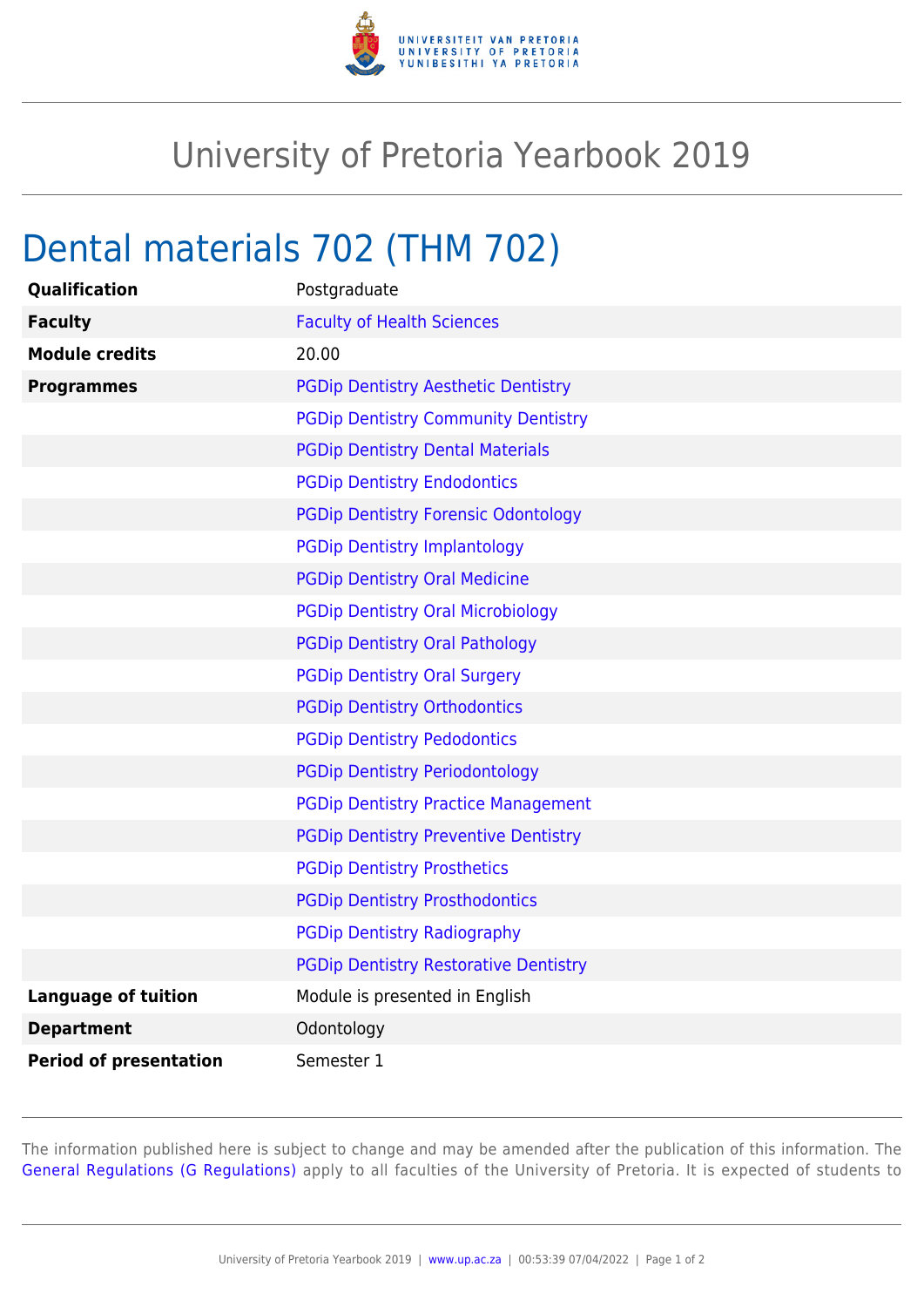

## University of Pretoria Yearbook 2019

## Dental materials 702 (THM 702)

| <b>Qualification</b>          | Postgraduate                                 |
|-------------------------------|----------------------------------------------|
| <b>Faculty</b>                | <b>Faculty of Health Sciences</b>            |
| <b>Module credits</b>         | 20.00                                        |
| <b>Programmes</b>             | <b>PGDip Dentistry Aesthetic Dentistry</b>   |
|                               | <b>PGDip Dentistry Community Dentistry</b>   |
|                               | <b>PGDip Dentistry Dental Materials</b>      |
|                               | <b>PGDip Dentistry Endodontics</b>           |
|                               | <b>PGDip Dentistry Forensic Odontology</b>   |
|                               | <b>PGDip Dentistry Implantology</b>          |
|                               | <b>PGDip Dentistry Oral Medicine</b>         |
|                               | <b>PGDip Dentistry Oral Microbiology</b>     |
|                               | <b>PGDip Dentistry Oral Pathology</b>        |
|                               | <b>PGDip Dentistry Oral Surgery</b>          |
|                               | <b>PGDip Dentistry Orthodontics</b>          |
|                               | <b>PGDip Dentistry Pedodontics</b>           |
|                               | <b>PGDip Dentistry Periodontology</b>        |
|                               | <b>PGDip Dentistry Practice Management</b>   |
|                               | <b>PGDip Dentistry Preventive Dentistry</b>  |
|                               | <b>PGDip Dentistry Prosthetics</b>           |
|                               | <b>PGDip Dentistry Prosthodontics</b>        |
|                               | <b>PGDip Dentistry Radiography</b>           |
|                               | <b>PGDip Dentistry Restorative Dentistry</b> |
| <b>Language of tuition</b>    | Module is presented in English               |
| <b>Department</b>             | Odontology                                   |
| <b>Period of presentation</b> | Semester 1                                   |

The information published here is subject to change and may be amended after the publication of this information. The [General Regulations \(G Regulations\)](https://www.up.ac.za/yearbooks/2019/rules/view/REG) apply to all faculties of the University of Pretoria. It is expected of students to